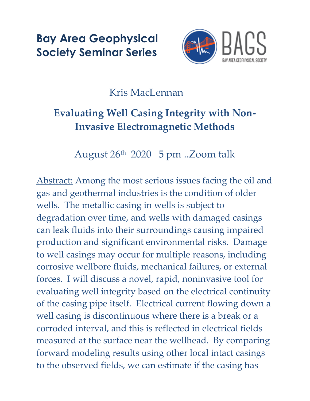**Bay Area Geophysical Society Seminar Series**



## Kris MacLennan

## **Evaluating Well Casing Integrity with Non-Invasive Electromagnetic Methods**

August 26th 2020 5 pm ..Zoom talk

Abstract: Among the most serious issues facing the oil and gas and geothermal industries is the condition of older wells. The metallic casing in wells is subject to degradation over time, and wells with damaged casings can leak fluids into their surroundings causing impaired production and significant environmental risks. Damage to well casings may occur for multiple reasons, including corrosive wellbore fluids, mechanical failures, or external forces. I will discuss a novel, rapid, noninvasive tool for evaluating well integrity based on the electrical continuity of the casing pipe itself. Electrical current flowing down a well casing is discontinuous where there is a break or a corroded interval, and this is reflected in electrical fields measured at the surface near the wellhead. By comparing forward modeling results using other local intact casings to the observed fields, we can estimate if the casing has